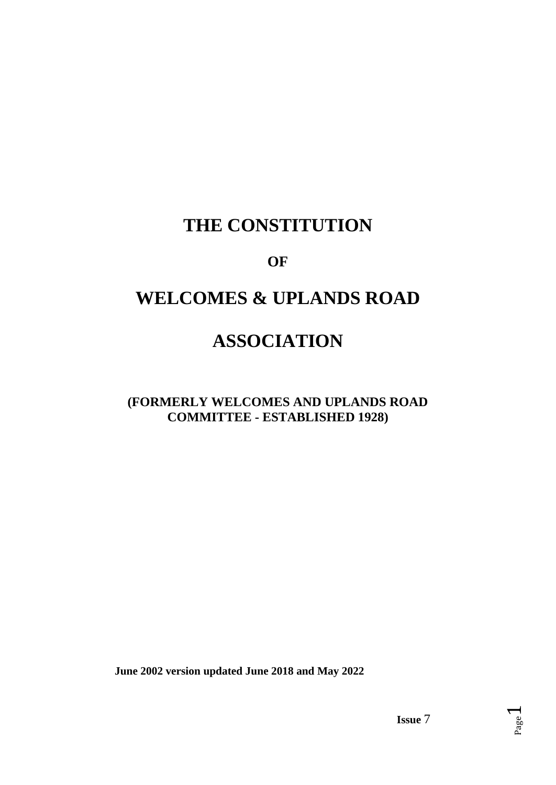## **THE CONSTITUTION**

### **OF**

# **WELCOMES & UPLANDS ROAD**

## **ASSOCIATION**

### **(FORMERLY WELCOMES AND UPLANDS ROAD COMMITTEE - ESTABLISHED 1928)**

 **June 2002 version updated June 2018 and May 2022**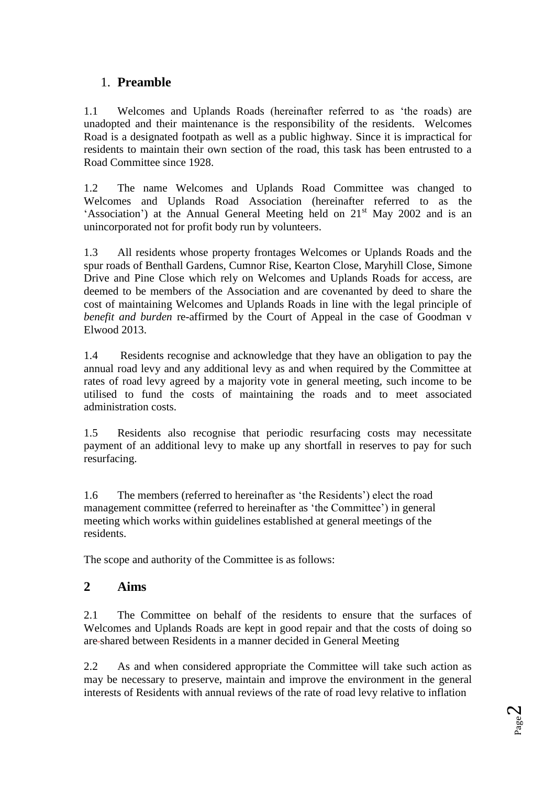### 1. **Preamble**

1.1 Welcomes and Uplands Roads (hereinafter referred to as 'the roads) are unadopted and their maintenance is the responsibility of the residents*.* Welcomes Road is a designated footpath as well as a public highway. Since it is impractical for residents to maintain their own section of the road, this task has been entrusted to a Road Committee since 1928.

1.2 The name Welcomes and Uplands Road Committee was changed to Welcomes and Uplands Road Association (hereinafter referred to as the 'Association') at the Annual General Meeting held on  $21<sup>st</sup>$  May 2002 and is an unincorporated not for profit body run by volunteers.

1.3 All residents whose property frontages Welcomes or Uplands Roads and the spur roads of Benthall Gardens, Cumnor Rise, Kearton Close, Maryhill Close, Simone Drive and Pine Close which rely on Welcomes and Uplands Roads for access, are deemed to be members of the Association and are covenanted by deed to share the cost of maintaining Welcomes and Uplands Roads in line with the legal principle of *benefit and burden* re-affirmed by the Court of Appeal in the case of Goodman v Elwood 2013.

1.4 Residents recognise and acknowledge that they have an obligation to pay the annual road levy and any additional levy as and when required by the Committee at rates of road levy agreed by a majority vote in general meeting, such income to be utilised to fund the costs of maintaining the roads and to meet associated administration costs.

1.5 Residents also recognise that periodic resurfacing costs may necessitate payment of an additional levy to make up any shortfall in reserves to pay for such resurfacing.

1.6 The members (referred to hereinafter as 'the Residents') elect the road management committee (referred to hereinafter as 'the Committee') in general meeting which works within guidelines established at general meetings of the residents.

The scope and authority of the Committee is as follows:

#### **2 Aims**

2.1 The Committee on behalf of the residents to ensure that the surfaces of Welcomes and Uplands Roads are kept in good repair and that the costs of doing so are shared between Residents in a manner decided in General Meeting

2.2 As and when considered appropriate the Committee will take such action as may be necessary to preserve, maintain and improve the environment in the general interests of Residents with annual reviews of the rate of road levy relative to inflation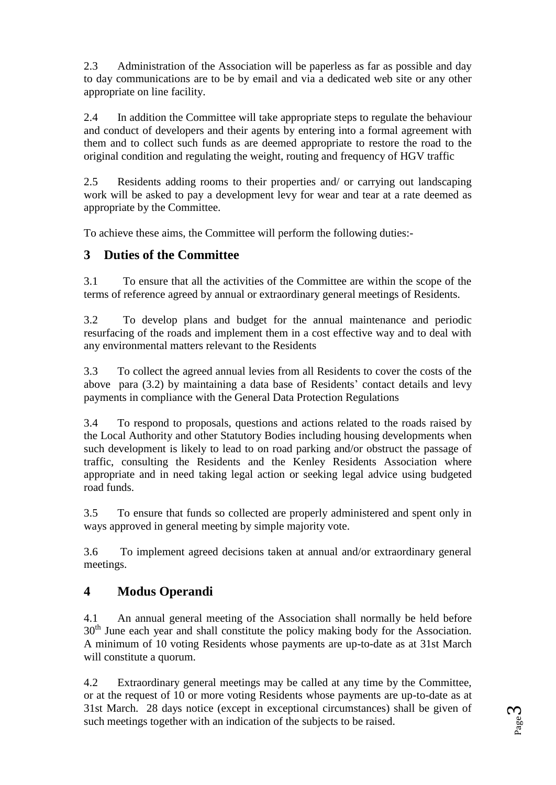2.3 Administration of the Association will be paperless as far as possible and day to day communications are to be by email and via a dedicated web site or any other appropriate on line facility.

2.4 In addition the Committee will take appropriate steps to regulate the behaviour and conduct of developers and their agents by entering into a formal agreement with them and to collect such funds as are deemed appropriate to restore the road to the original condition and regulating the weight, routing and frequency of HGV traffic

2.5 Residents adding rooms to their properties and/ or carrying out landscaping work will be asked to pay a development levy for wear and tear at a rate deemed as appropriate by the Committee.

To achieve these aims, the Committee will perform the following duties:-

#### **3 Duties of the Committee**

3.1 To ensure that all the activities of the Committee are within the scope of the terms of reference agreed by annual or extraordinary general meetings of Residents.

3.2 To develop plans and budget for the annual maintenance and periodic resurfacing of the roads and implement them in a cost effective way and to deal with any environmental matters relevant to the Residents

3.3 To collect the agreed annual levies from all Residents to cover the costs of the above para (3.2) by maintaining a data base of Residents' contact details and levy payments in compliance with the General Data Protection Regulations

3.4 To respond to proposals, questions and actions related to the roads raised by the Local Authority and other Statutory Bodies including housing developments when such development is likely to lead to on road parking and/or obstruct the passage of traffic, consulting the Residents and the Kenley Residents Association where appropriate and in need taking legal action or seeking legal advice using budgeted road funds.

3.5 To ensure that funds so collected are properly administered and spent only in ways approved in general meeting by simple majority vote.

3.6 To implement agreed decisions taken at annual and/or extraordinary general meetings.

#### **4 Modus Operandi**

4.1 An annual general meeting of the Association shall normally be held before 30<sup>th</sup> June each year and shall constitute the policy making body for the Association. A minimum of 10 voting Residents whose payments are up-to-date as at 31st March will constitute a quorum.

4.2 Extraordinary general meetings may be called at any time by the Committee, or at the request of 10 or more voting Residents whose payments are up-to-date as at 31st March. 28 days notice (except in exceptional circumstances) shall be given of such meetings together with an indication of the subjects to be raised.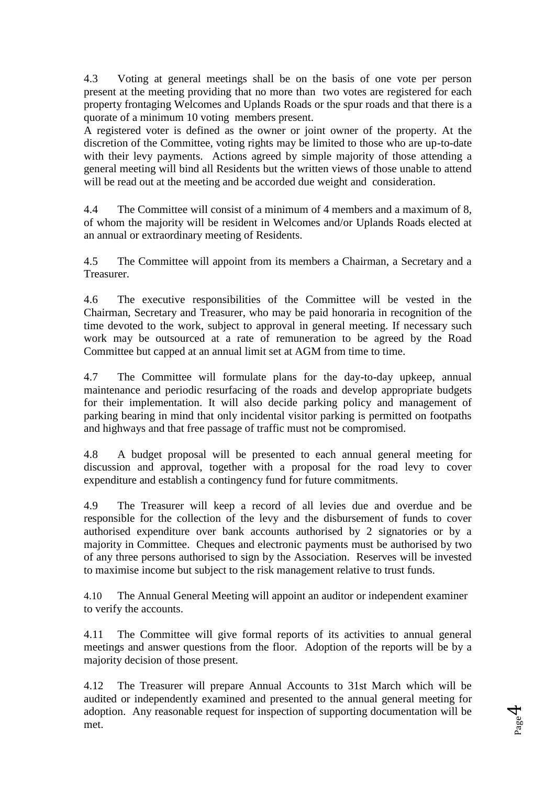4.3 Voting at general meetings shall be on the basis of one vote per person present at the meeting providing that no more than two votes are registered for each property frontaging Welcomes and Uplands Roads or the spur roads and that there is a quorate of a minimum 10 voting members present.

A registered voter is defined as the owner or joint owner of the property. At the discretion of the Committee, voting rights may be limited to those who are up-to-date with their levy payments. Actions agreed by simple majority of those attending a general meeting will bind all Residents but the written views of those unable to attend will be read out at the meeting and be accorded due weight and consideration.

4.4 The Committee will consist of a minimum of 4 members and a maximum of 8, of whom the majority will be resident in Welcomes and/or Uplands Roads elected at an annual or extraordinary meeting of Residents.

4.5 The Committee will appoint from its members a Chairman, a Secretary and a Treasurer.

4.6 The executive responsibilities of the Committee will be vested in the Chairman, Secretary and Treasurer, who may be paid honoraria in recognition of the time devoted to the work, subject to approval in general meeting. If necessary such work may be outsourced at a rate of remuneration to be agreed by the Road Committee but capped at an annual limit set at AGM from time to time.

4.7 The Committee will formulate plans for the day-to-day upkeep, annual maintenance and periodic resurfacing of the roads and develop appropriate budgets for their implementation. It will also decide parking policy and management of parking bearing in mind that only incidental visitor parking is permitted on footpaths and highways and that free passage of traffic must not be compromised.

4.8 A budget proposal will be presented to each annual general meeting for discussion and approval, together with a proposal for the road levy to cover expenditure and establish a contingency fund for future commitments.

4.9 The Treasurer will keep a record of all levies due and overdue and be responsible for the collection of the levy and the disbursement of funds to cover authorised expenditure over bank accounts authorised by 2 signatories or by a majority in Committee. Cheques and electronic payments must be authorised by two of any three persons authorised to sign by the Association. Reserves will be invested to maximise income but subject to the risk management relative to trust funds.

4.10 The Annual General Meeting will appoint an auditor or independent examiner to verify the accounts.

4.11 The Committee will give formal reports of its activities to annual general meetings and answer questions from the floor. Adoption of the reports will be by a majority decision of those present.

4.12 The Treasurer will prepare Annual Accounts to 31st March which will be audited or independently examined and presented to the annual general meeting for adoption. Any reasonable request for inspection of supporting documentation will be met.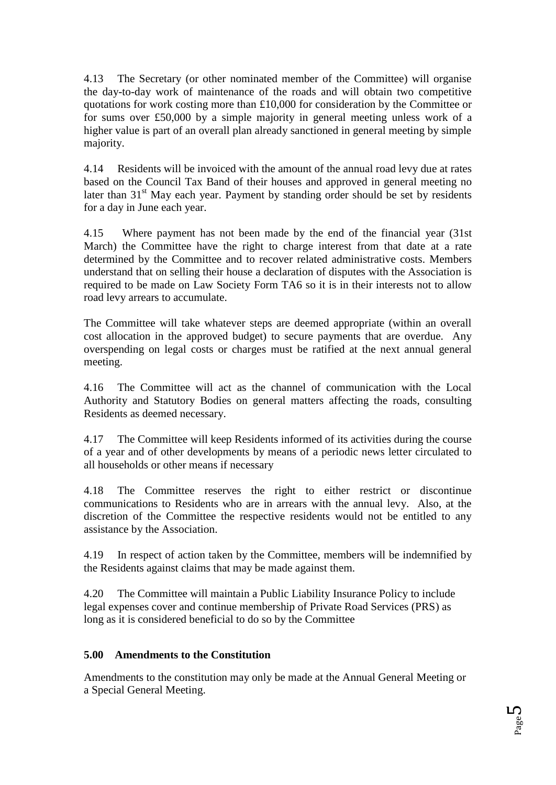4.13 The Secretary (or other nominated member of the Committee) will organise the day-to-day work of maintenance of the roads and will obtain two competitive quotations for work costing more than £10,000 for consideration by the Committee or for sums over £50,000 by a simple majority in general meeting unless work of a higher value is part of an overall plan already sanctioned in general meeting by simple majority.

4.14 Residents will be invoiced with the amount of the annual road levy due at rates based on the Council Tax Band of their houses and approved in general meeting no later than 31<sup>st</sup> May each year. Payment by standing order should be set by residents for a day in June each year.

4.15 Where payment has not been made by the end of the financial year (31st March) the Committee have the right to charge interest from that date at a rate determined by the Committee and to recover related administrative costs. Members understand that on selling their house a declaration of disputes with the Association is required to be made on Law Society Form TA6 so it is in their interests not to allow road levy arrears to accumulate.

The Committee will take whatever steps are deemed appropriate (within an overall cost allocation in the approved budget) to secure payments that are overdue. Any overspending on legal costs or charges must be ratified at the next annual general meeting.

4.16 The Committee will act as the channel of communication with the Local Authority and Statutory Bodies on general matters affecting the roads, consulting Residents as deemed necessary.

4.17 The Committee will keep Residents informed of its activities during the course of a year and of other developments by means of a periodic news letter circulated to all households or other means if necessary

4.18 The Committee reserves the right to either restrict or discontinue communications to Residents who are in arrears with the annual levy. Also, at the discretion of the Committee the respective residents would not be entitled to any assistance by the Association.

4.19 In respect of action taken by the Committee, members will be indemnified by the Residents against claims that may be made against them.

4.20 The Committee will maintain a Public Liability Insurance Policy to include legal expenses cover and continue membership of Private Road Services (PRS) as long as it is considered beneficial to do so by the Committee

#### **5.00 Amendments to the Constitution**

Amendments to the constitution may only be made at the Annual General Meeting or a Special General Meeting.